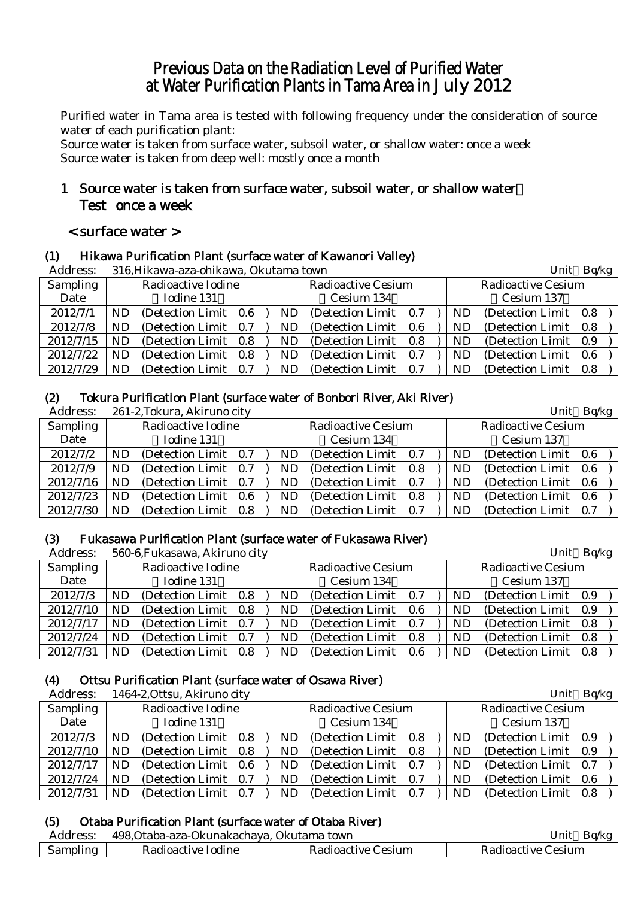# Previous Data on the Radiation Level of Purified Water at Water Purification Plants in Tama Area in July 2012

Purified water in Tama area is tested with following frequency under the consideration of source water of each purification plant:

Source water is taken from surface water, subsoil water, or shallow water: once a week Source water is taken from deep well: mostly once a month

# 1 Source water is taken from surface water, subsoil water, or shallow water: Test once a week

# < surface water >

## (1) Hikawa Purification Plant (surface water of Kawanori Valley)

| Address:  |     | 316, Hikawa-aza-ohikawa, Okutama town           |     |  |     | $\cdot$ .             |  |  | Unit | Bq/kg                     |  |
|-----------|-----|-------------------------------------------------|-----|--|-----|-----------------------|--|--|------|---------------------------|--|
|           |     | Radioactive Iodine<br><b>Radioactive Cesium</b> |     |  |     |                       |  |  |      |                           |  |
| Sampling  |     |                                                 |     |  |     |                       |  |  |      | <b>Radioactive Cesium</b> |  |
| Date      |     | Iodine 131                                      |     |  |     | Cesium 134            |  |  |      | Cesium 137                |  |
| 2012/7/1  | ND. | (Detection Limit 0.6)                           |     |  | ND  | (Detection Limit 0.7) |  |  | ND   | (Detection Limit 0.8)     |  |
| 2012/7/8  | ND. | (Detection Limit 0.7)                           |     |  | ND. | (Detection Limit 0.6) |  |  | ND   | (Detection Limit 0.8)     |  |
| 2012/7/15 | ND. | (Detection Limit 0.8)                           |     |  | ND  | (Detection Limit 0.8) |  |  | ND   | (Detection Limit 0.9)     |  |
| 2012/7/22 | ND  | (Detection Limit 0.8)                           |     |  | ND  | (Detection Limit 0.7) |  |  | ND   | (Detection Limit 0.6)     |  |
| 2012/7/29 | ND  | (Detection Limit)                               | 0.7 |  | ND  | (Detection Limit 0.7) |  |  | ND   | (Detection Limit 0.8)     |  |

# (2) Tokura Purification Plant (surface water of Bonbori River, Aki River)

| Address:        |    | 261-2, Tokura, Akiruno city |     |     |                    |       |           | Unit                      | Bq/kg |  |
|-----------------|----|-----------------------------|-----|-----|--------------------|-------|-----------|---------------------------|-------|--|
| <b>Sampling</b> |    | Radioactive Iodine          |     |     | Radioactive Cesium |       |           | <b>Radioactive Cesium</b> |       |  |
| Date            |    | Iodine 131                  |     |     | Cesium 134         |       |           | Cesium 137                |       |  |
| 2012/7/2        | ND | (Detection Limit 0.7)       |     | ND  | (Detection Limit)  | 0.7   | ND        | (Detection Limit 0.6)     |       |  |
| 2012/7/9        | ND | (Detection Limit 0.7)       |     | ND  | (Detection Limit)  | 0.8   | ND        | (Detection Limit 0.6)     |       |  |
| 2012/7/16       | ND | (Detection Limit 0.7)       |     | ND. | (Detection Limit)  | - 0.7 | ND        | (Detection Limit 0.6)     |       |  |
| 2012/7/23       | ND | (Detection Limit)           | 0.6 | ND. | (Detection Limit)  | 0.8   | ND        | (Detection Limit)         | 0.6   |  |
| 2012/7/30       | ND | (Detection Limit)           | 0.8 | ND  | (Detection Limit)  | 0.7   | <b>ND</b> | (Detection Limit)         | 0.7   |  |

## (3) Fukasawa Purification Plant (surface water of Fukasawa River)

Address: 560-6,Fukasawa, Akiruno city **Example 2018** Unit Bq/kg Sampling Date Radioactive Iodine Iodine 131 Radioactive Cesium Cesium 134 Radioactive Cesium Cesium 137  $2012/7/3$  ND (Detection Limit 0.8 ) ND (Detection Limit 0.7 ) ND (Detection Limit 0.9  $2012/7/10$  ND (Detection Limit 0.8 ) ND (Detection Limit 0.6 ) ND (Detection Limit 0.9  $2012/7/17$  ND (Detection Limit 0.7 ) ND (Detection Limit 0.7 ) ND (Detection Limit 0.8 2012/7/24 | ND (Detection Limit 0.7 ) | ND (Detection Limit 0.8 ) | ND (Detection Limit 0.8 2012/7/31 ND (Detection Limit 0.8 ) ND (Detection Limit 0.6 ) ND (Detection Limit 0.8

## (4) Ottsu Purification Plant (surface water of Osawa River)

| Address:        |           | 1464-2, Ottsu, Akiruno city |     |     |                           |     |    | Unit                      | Bq/kg |
|-----------------|-----------|-----------------------------|-----|-----|---------------------------|-----|----|---------------------------|-------|
| <b>Sampling</b> |           | Radioactive Iodine          |     |     | <b>Radioactive Cesium</b> |     |    | <b>Radioactive Cesium</b> |       |
| Date            |           | Iodine 131                  |     |     | Cesium 134                |     |    | Cesium 137                |       |
| 2012/7/3        | <b>ND</b> | (Detection Limit 0.8)       |     | ND. | (Detection Limit)         | 0.8 | ND | (Detection Limit 0.9)     |       |
| 2012/7/10       | ND        | (Detection Limit 0.8)       |     | ND. | (Detection Limit 0.8)     |     | ND | (Detection Limit 0.9)     |       |
| 2012/7/17       | ND        | (Detection Limit 0.6)       |     | ND. | (Detection Limit 0.7)     |     | ND | (Detection Limit 0.7)     |       |
| 2012/7/24       | ND        | (Detection Limit 0.7)       |     | ND. | (Detection Limit)         | 0.7 | ND | (Detection Limit)         | 0.6   |
| 2012/7/31       | ND        | (Detection Limit)           | 0.7 | ND. | (Detection Limit)         | 0.7 | ND | (Detection Limit)         | 0.8   |

# (5) Otaba Purification Plant (surface water of Otaba River)

| Address: | 498.Otaba-aza-Okunakachaya, Okutama town |                    | Ba/kg<br>Jnit      |
|----------|------------------------------------------|--------------------|--------------------|
| Sampling | Radioactive Iodine                       | Radioactive Cesium | Radioactive Cesium |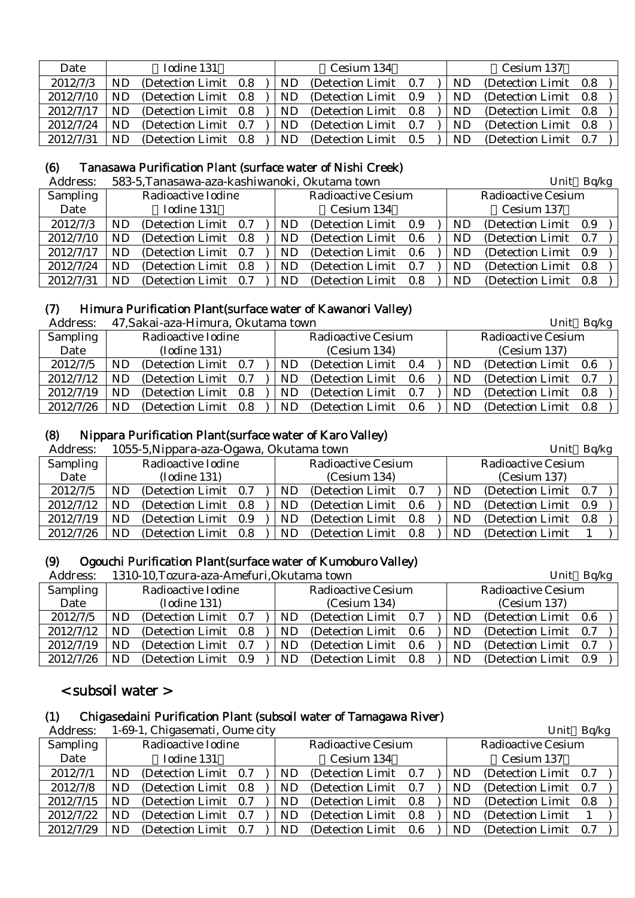| Date      |           | Iodine 131            |     | Cesium 134            |  |           | Cesium 137        |     |  |
|-----------|-----------|-----------------------|-----|-----------------------|--|-----------|-------------------|-----|--|
| 2012/7/3  | ND        | (Detection Limit 0.8) | ND  | (Detection Limit 0.7) |  | ND.       | (Detection Limit) | 0.8 |  |
| 2012/7/10 | ND        | (Detection Limit 0.8) | ND  | (Detection Limit 0.9) |  | ND.       | (Detection Limit) | 0.8 |  |
| 2012/7/17 | ND        | (Detection Limit 0.8) | ND. | (Detection Limit 0.8) |  | ND.       | (Detection Limit) | 0.8 |  |
| 2012/7/24 | <b>ND</b> | (Detection Limit 0.7) | ND. | (Detection Limit 0.7) |  | ND.       | (Detection Limit) | 0.8 |  |
| 2012/7/31 | <b>ND</b> | (Detection Limit 0.8) | ND. | (Detection Limit 0.5) |  | <b>ND</b> | (Detection Limit) | 0.7 |  |

# (6) Tanasawa Purification Plant (surface water of Nishi Creek)

| Address:        |           | 583-5, Tanasawa-aza-kashiwanoki, Okutama town |  |     |                           |  |            | Unit Bq/kg                |                       |  |  |
|-----------------|-----------|-----------------------------------------------|--|-----|---------------------------|--|------------|---------------------------|-----------------------|--|--|
| <b>Sampling</b> |           | Radioactive Iodine                            |  |     | <b>Radioactive Cesium</b> |  |            | <b>Radioactive Cesium</b> |                       |  |  |
| Date            |           | Iodine 131                                    |  |     | Cesium 134                |  | Cesium 137 |                           |                       |  |  |
| 2012/7/3        | ND        | (Detection Limit 0.7)                         |  | ND  | (Detection Limit 0.9)     |  | ND         | (Detection Limit 0.9)     |                       |  |  |
| 2012/7/10       | ND.       | (Detection Limit 0.8)                         |  | ND. | (Detection Limit 0.6)     |  |            | ND.                       | (Detection Limit 0.7) |  |  |
| 2012/7/17       | ND        | (Detection Limit 0.7)                         |  | ND  | (Detection Limit 0.6)     |  |            | <b>ND</b>                 | (Detection Limit 0.9) |  |  |
| 2012/7/24       | <b>ND</b> | (Detection Limit 0.8)                         |  | ND. | (Detection Limit 0.7)     |  |            | ND                        | (Detection Limit 0.8) |  |  |
| 2012/7/31       | <b>ND</b> | (Detection Limit 0.7)                         |  | ND. | (Detection Limit 0.8)     |  |            | ND                        | (Detection Limit 0.8) |  |  |

### (7) Himura Purification Plant(surface water of Kawanori Valley)

| Address:  |    | 47, Sakai-aza-Himura, Okutama town |  |     |                           |     | Unit | Bq/kg                     |                   |     |
|-----------|----|------------------------------------|--|-----|---------------------------|-----|------|---------------------------|-------------------|-----|
| Sampling  |    | Radioactive Iodine                 |  |     | <b>Radioactive Cesium</b> |     |      | <b>Radioactive Cesium</b> |                   |     |
| Date      |    | (Iodine 131)                       |  |     | (Cesium 134)              |     |      | (Cesium 137)              |                   |     |
| 2012/7/5  | ND | (Detection Limit 0.7)              |  | ND. | (Detection Limit 0.4)     |     | ND   | (Detection Limit 0.6)     |                   |     |
| 2012/7/12 | ND | (Detection Limit 0.7)              |  | ND  | (Detection Limit 0.6      |     |      | ND                        | (Detection Limit) | 0.7 |
| 2012/7/19 | ND | (Detection Limit 0.8)              |  | ND  | (Detection Limit 0.7)     |     |      | ΝE                        | (Detection Limit) | 0.8 |
| 2012/7/26 | ND | (Detection Limit 0.8)              |  | ND  | (Detection Limit)         | 0.6 |      | ND                        | (Detection Limit) | 0.8 |

# (8) Nippara Purification Plant(surface water of Karo Valley)

| Address:        |    | 1055-5, Nippara-aza-Ogawa, Okutama town |     |  |                           |                   |     |  |    | Unit                      | Bq/kg |  |
|-----------------|----|-----------------------------------------|-----|--|---------------------------|-------------------|-----|--|----|---------------------------|-------|--|
| <b>Sampling</b> |    | Radioactive Iodine                      |     |  | <b>Radioactive Cesium</b> |                   |     |  |    | <b>Radioactive Cesium</b> |       |  |
| Date            |    | (Iodine 131)                            |     |  | (Cesium 134)              |                   |     |  |    | (Cesium 137)              |       |  |
| 2012/7/5        | ND | (Detection Limit 0.7)                   |     |  | ND.                       | (Detection Limit) | 0.7 |  | ND | (Detection Limit)         | 0.7   |  |
| 2012/7/12       | ND | (Detection Limit 0.8)                   |     |  | ND.                       | (Detection Limit) | 0.6 |  | ND | (Detection Limit 0.9)     |       |  |
| 2012/7/19       | ND | (Detection Limit 0.9)                   |     |  | ND.                       | (Detection Limit) | 0.8 |  | ND | (Detection Limit)         | 0.8   |  |
| 2012/7/26       | ND | (Detection Limit)                       | 0.8 |  | ND                        | (Detection Limit) | 0.8 |  | ND | (Detection Limit)         |       |  |

### (9) Ogouchi Purification Plant(surface water of Kumoburo Valley)

Address: 1310-10,Tozura-aza-Amefuri,Okutama town Unit Bq/kg

| Auui Cool |    | 1910-10, I 02ul a-aza-Alliciul I,ORutallia towil |     |     |                           |     |    |                           | $U$ IIIL DYAS |  |
|-----------|----|--------------------------------------------------|-----|-----|---------------------------|-----|----|---------------------------|---------------|--|
| Sampling  |    | Radioactive Iodine                               |     |     | <b>Radioactive Cesium</b> |     |    | <b>Radioactive Cesium</b> |               |  |
| Date      |    | (Iodine 131)                                     |     |     | (Cesium 134)              |     |    | (Cesium 137)              |               |  |
| 2012/7/5  | ND | (Detection Limit 0.7)                            |     | ND. | (Detection Limit 0.7)     |     | ND | (Detection Limit 0.6)     |               |  |
| 2012/7/12 | ND | (Detection Limit 0.8)                            |     | ND. | (Detection Limit 0.6)     |     | ND | (Detection Limit 0.7)     |               |  |
| 2012/7/19 | ND | (Detection Limit 0.7)                            |     | ND. | (Detection Limit 0.6)     |     | ND | (Detection Limit 0.7)     |               |  |
| 2012/7/26 | ND | (Detection Limit)                                | 0.9 | ND  | (Detection Limit)         | 0.8 | ND | (Detection Limit 0.9)     |               |  |

# < subsoil water >

## (1) Chigasedaini Purification Plant (subsoil water of Tamagawa River)

| Address:        |           | 1-69-1, Chigasemati, Oume city |     |     |                           |     |           | Unit                      | Bq/kg |  |
|-----------------|-----------|--------------------------------|-----|-----|---------------------------|-----|-----------|---------------------------|-------|--|
| <b>Sampling</b> |           | Radioactive Iodine             |     |     | <b>Radioactive Cesium</b> |     |           | <b>Radioactive Cesium</b> |       |  |
| Date            |           | Iodine 131                     |     |     | Cesium 134                |     |           | Cesium 137                |       |  |
| 2012/7/1        | <b>ND</b> | (Detection Limit 0.7)          |     | ND. | (Detection Limit 0.7)     |     | ND.       | (Detection Limit 0.7)     |       |  |
| 2012/7/8        | <b>ND</b> | (Detection Limit 0.8)          |     | ND. | (Detection Limit 0.7)     |     | ND        | (Detection Limit 0.7)     |       |  |
| 2012/7/15       | <b>ND</b> | (Detection Limit 0.7)          |     | ND. | (Detection Limit 0.8)     |     | <b>ND</b> | (Detection Limit 0.8)     |       |  |
| 2012/7/22       | <b>ND</b> | (Detection Limit 0.7)          |     | ND. | (Detection Limit)         | 0.8 | ND        | (Detection Limit)         |       |  |
| 2012/7/29       | ND        | (Detection Limit)              | 0.7 | ND. | (Detection Limit)         | 0.6 | ND        | (Detection Limit)         | 0.7   |  |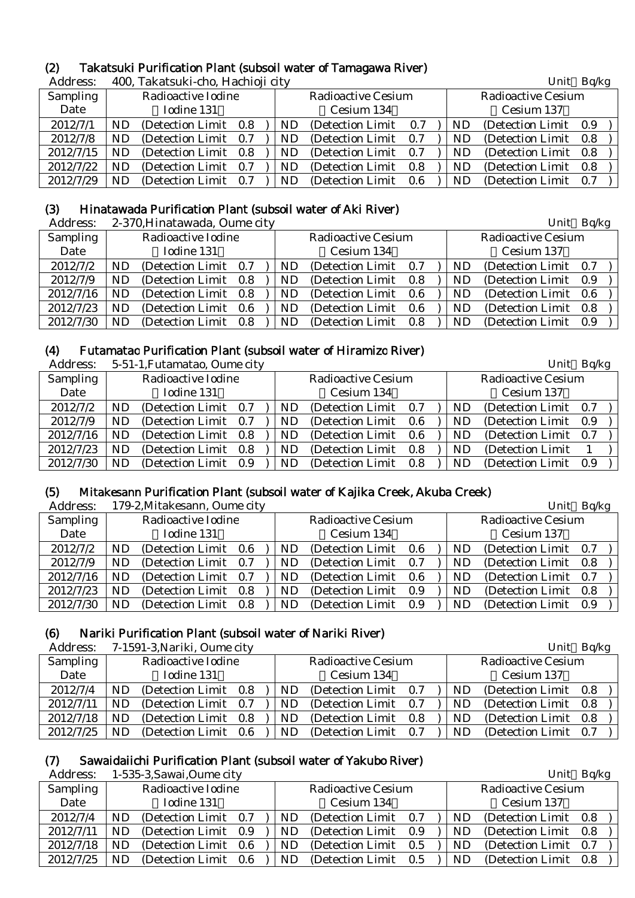## (2) Takatsuki Purification Plant (subsoil water of Tamagawa River)

| Address:  |           | 400, Takatsuki-cho, Hachioji city |     |           |                           |     |            |                           | Unit                  | Bq/kg |  |
|-----------|-----------|-----------------------------------|-----|-----------|---------------------------|-----|------------|---------------------------|-----------------------|-------|--|
| Sampling  |           | Radioactive Iodine                |     |           | <b>Radioactive Cesium</b> |     |            | <b>Radioactive Cesium</b> |                       |       |  |
| Date      |           | Iodine 131                        |     |           | Cesium 134                |     | Cesium 137 |                           |                       |       |  |
| 2012/7/1  | <b>ND</b> | (Detection Limit 0.8)             |     | <b>ND</b> | (Detection Limit 0.7)     |     |            | ND                        | (Detection Limit 0.9) |       |  |
| 2012/7/8  | ND.       | (Detection Limit 0.7)             |     | ND.       | (Detection Limit)         | 0.7 |            | <b>ND</b>                 | (Detection Limit)     | 0.8   |  |
| 2012/7/15 | ND.       | (Detection Limit 0.8)             |     | ND.       | (Detection Limit)         | 0.7 |            | ND                        | (Detection Limit 0.8) |       |  |
| 2012/7/22 | <b>ND</b> | (Detection Limit 0.7)             |     | ND        | (Detection Limit)         | 0.8 |            | ND                        | (Detection Limit)     | 0.8   |  |
| 2012/7/29 | ND.       | (Detection Limit)                 | 0.7 | ND.       | (Detection Limit)         | 0.6 |            | ND                        | (Detection Limit)     | 0.7   |  |

# (3) Hinatawada Purification Plant (subsoil water of Aki River)

| Address:  |           | 2-370, Hinatawada, Oume city |     |                           |     |           | Unit                      | Bq/kg |  |
|-----------|-----------|------------------------------|-----|---------------------------|-----|-----------|---------------------------|-------|--|
| Sampling  |           | Radioactive Iodine           |     | <b>Radioactive Cesium</b> |     |           | <b>Radioactive Cesium</b> |       |  |
| Date      |           | Iodine 131                   |     | Cesium 134                |     |           | Cesium 137                |       |  |
| 2012/7/2  | <b>ND</b> | (Detection Limit 0.7)        | ND. | (Detection Limit 0.7)     |     | ND        | (Detection Limit 0.7)     |       |  |
| 2012/7/9  | ND.       | (Detection Limit 0.8)        | ND. | (Detection Limit)         | 0.8 | ND        | (Detection Limit 0.9)     |       |  |
| 2012/7/16 | <b>ND</b> | (Detection Limit 0.8)        | ND. | (Detection Limit)         | 0.6 | <b>ND</b> | (Detection Limit 0.6)     |       |  |
| 2012/7/23 | ND.       | (Detection Limit 0.6)        | ND. | (Detection Limit)         | 0.6 | <b>ND</b> | (Detection Limit)         | 0.8   |  |
| 2012/7/30 | <b>ND</b> | (Detection Limit 0.8)        | ND. | (Detection Limit)         | 0.8 | ND        | (Detection Limit)         | 0.9   |  |

## (4) Futamatao Purification Plant (subsoil water of Hiramizo River)

| Address:        |           | 5-51-1, Futamatao, Oume city |     |     |                           |      |           | Unit                      | Bq/kg |  |
|-----------------|-----------|------------------------------|-----|-----|---------------------------|------|-----------|---------------------------|-------|--|
| <b>Sampling</b> |           | Radioactive Iodine           |     |     | <b>Radioactive Cesium</b> |      |           | <b>Radioactive Cesium</b> |       |  |
| Date            |           | Iodine 131                   |     |     | Cesium 134                |      |           | Cesium 137                |       |  |
| 2012/7/2        | <b>ND</b> | (Detection Limit 0.7)        |     | ND. | (Detection Limit 0.7)     |      | <b>ND</b> | (Detection Limit 0.7)     |       |  |
| 2012/7/9        | <b>ND</b> | (Detection Limit 0.7)        |     | ND. | (Detection Limit)         | -0.6 | <b>ND</b> | (Detection Limit 0.9)     |       |  |
| 2012/7/16       | <b>ND</b> | (Detection Limit 0.8)        |     | ND  | (Detection Limit)         | 0.6  | ND        | (Detection Limit 0.7)     |       |  |
| 2012/7/23       | ND        | (Detection Limit 0.8)        |     | ND  | (Detection Limit)         | 0.8  | ND        | (Detection Limit)         |       |  |
| 2012/7/30       | ND.       | (Detection Limit)            | 0.9 | ND  | (Detection Limit)         | 0.8  | ND        | (Detection Limit)         | 0.9   |  |

## (5) Mitakesann Purification Plant (subsoil water of Kajika Creek, Akuba Creek)

| Address:        |    | 179-2, Mitakesann, Oume city |     |     |                           |     |  |    | Unit                      | Bq/kg |  |
|-----------------|----|------------------------------|-----|-----|---------------------------|-----|--|----|---------------------------|-------|--|
| <b>Sampling</b> |    | Radioactive Iodine           |     |     | <b>Radioactive Cesium</b> |     |  |    | <b>Radioactive Cesium</b> |       |  |
| Date            |    | Iodine 131                   |     |     | Cesium 134                |     |  |    | Cesium 137                |       |  |
| 2012/7/2        | ND | (Detection Limit 0.6)        |     | ND. | (Detection Limit)         | 0.6 |  | ND | (Detection Limit)         | 0.7   |  |
| 2012/7/9        | ND | (Detection Limit 0.7)        |     | ND. | (Detection Limit)         | 0.7 |  | ND | (Detection Limit)         | 0.8   |  |
| 2012/7/16       | ND | (Detection Limit 0.7)        |     | ND. | (Detection Limit)         | 0.6 |  | ND | (Detection Limit 0.7)     |       |  |
| 2012/7/23       | ND | (Detection Limit)            | 0.8 | ND  | (Detection Limit)         | 0.9 |  | ND | (Detection Limit)         | 0.8   |  |
| 2012/7/30       | ND | (Detection Limit)            | 0.8 | ND. | (Detection Limit)         | 0.9 |  | ND | (Detection Limit)         | 0.9   |  |

## (6) Nariki Purification Plant (subsoil water of Nariki River)

| Address:  |    | 7-1591-3, Nariki, Oume city |  |     |                           |     |     | Unit                      | Bq/kg   |  |
|-----------|----|-----------------------------|--|-----|---------------------------|-----|-----|---------------------------|---------|--|
| Sampling  |    | Radioactive Iodine          |  |     | <b>Radioactive Cesium</b> |     |     | <b>Radioactive Cesium</b> |         |  |
| Date      |    | Iodine 131                  |  |     | Cesium 134                |     |     | Cesium 137                |         |  |
| 2012/7/4  | ND | (Detection Limit 0.8)       |  | ND. | (Detection Limit 0.7)     |     | ND  | (Detection Limit)         | $0.8\,$ |  |
| 2012/7/11 | ND | (Detection Limit 0.7)       |  | ND. | (Detection Limit)         | 0.7 | ND. | (Detection Limit)         | 0.8     |  |
| 2012/7/18 | ND | (Detection Limit 0.8)       |  | ND  | (Detection Limit)         | 0.8 | ND  | (Detection Limit 0.8)     |         |  |
| 2012/7/25 | ND | (Detection Limit 0.6)       |  | ND  | (Detection Limit)         | 0.7 | ND  | (Detection Limit 0.7)     |         |  |

## (7) Sawaidaiichi Purification Plant (subsoil water of Yakubo River)

| Address:  |    | 1-535-3, Sawai, Oume city |       |            |                    |     |  |    | Unit                  | Bq/kg |  |
|-----------|----|---------------------------|-------|------------|--------------------|-----|--|----|-----------------------|-------|--|
| Sampling  |    | Radioactive Iodine        |       |            | Radioactive Cesium |     |  |    | Radioactive Cesium    |       |  |
| Date      |    | Iodine 131                |       | Cesium 134 |                    |     |  |    | Cesium 137            |       |  |
| 2012/7/4  | ND | (Detection Limit 0.7)     |       | ND         | (Detection Limit)  | 0.7 |  | ND | (Detection Limit 0.8) |       |  |
| 2012/7/11 | ND | (Detection Limit)         | - 0.9 | ND         | (Detection Limit)  | 0.9 |  | ND | (Detection Limit)     | 0.8   |  |
| 2012/7/18 | ND | (Detection Limit)         | 0.6   | ND         | (Detection Limit)  | 0.5 |  | ND | (Detection Limit)     | 0.7   |  |
| 2012/7/25 | ND | (Detection Limit)         | 0.6   | ND         | (Detection Limit)  | 0.5 |  | ND | (Detection Limit)     | 0.8   |  |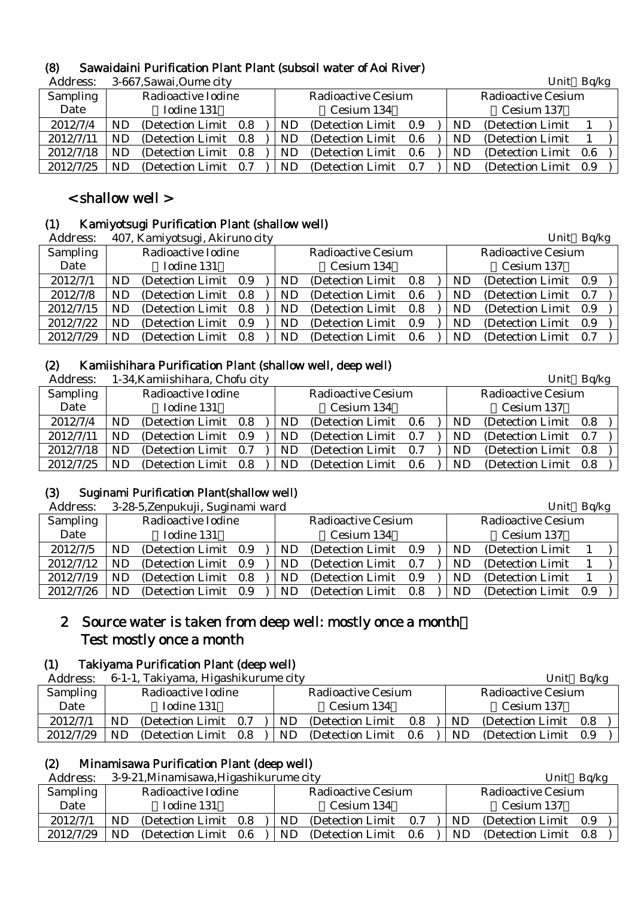# (8) Sawaidaini Purification Plant Plant (subsoil water of Aoi River)

| Address:        |           | 3-667, Sawai, Oume city |     |     |                           |     |           | Unit                      | Bq/kg |  |
|-----------------|-----------|-------------------------|-----|-----|---------------------------|-----|-----------|---------------------------|-------|--|
| <b>Sampling</b> |           | Radioactive Iodine      |     |     | <b>Radioactive Cesium</b> |     |           | <b>Radioactive Cesium</b> |       |  |
| Date            |           | Iodine 131              |     |     | Cesium 134                |     |           | Cesium 137                |       |  |
| 2012/7/4        | <b>ND</b> | (Detection Limit 0.8)   |     | ND. | (Detection Limit 0.9)     |     | ND        | (Detection Limit)         |       |  |
| 2012/7/11       | ND        | (Detection Limit 0.8)   |     | ND. | (Detection Limit 0.6)     |     | <b>ND</b> | (Detection Limit)         |       |  |
| 2012/7/18       | ND        | (Detection Limit 0.8)   |     | ND. | (Detection Limit 0.6)     |     | ND        | (Detection Limit)         | 0.6   |  |
| 2012/7/25       | ND        | (Detection Limit)       | 0.7 | ND. | (Detection Limit)         | 0.7 | <b>ND</b> | (Detection Limit)         | 0.9   |  |

# < shallow well >

# (1) Kamiyotsugi Purification Plant (shallow well)

| Address:  |           | 407, Kamiyotsugi, Akiruno city |     |                           |       |           | Unit Bq/kg                |     |  |
|-----------|-----------|--------------------------------|-----|---------------------------|-------|-----------|---------------------------|-----|--|
| Sampling  |           | Radioactive Iodine             |     | <b>Radioactive Cesium</b> |       |           | <b>Radioactive Cesium</b> |     |  |
| Date      |           | Iodine 131                     |     | Cesium 134                |       |           | Cesium 137                |     |  |
| 2012/7/1  | <b>ND</b> | (Detection Limit 0.9)          | ND  | (Detection Limit 0.8)     |       | ND.       | (Detection Limit)         | 0.9 |  |
| 2012/7/8  | <b>ND</b> | (Detection Limit 0.8)          | ND. | (Detection Limit 0.6)     |       | <b>ND</b> | (Detection Limit)         | 0.7 |  |
| 2012/7/15 | <b>ND</b> | (Detection Limit 0.8)          | ND  | (Detection Limit)         | 0.8   | ND        | (Detection Limit 0.9)     |     |  |
| 2012/7/22 | <b>ND</b> | (Detection Limit 0.9)          | ND. | (Detection Limit)         | - 0.9 | <b>ND</b> | (Detection Limit)         | 0.9 |  |
| 2012/7/29 | ND.       | (Detection Limit 0.8)          | ND. | (Detection Limit)         | -0.6  | ND        | (Detection Limit)         | 0.7 |  |

# (2) Kamiishihara Purification Plant (shallow well, deep well)

| Address:  |           | 1-34, Kamiishihara, Chofu city |  |    |                           |     |    | Unit                      | Bq/kg |  |
|-----------|-----------|--------------------------------|--|----|---------------------------|-----|----|---------------------------|-------|--|
| Sampling  |           | Radioactive Iodine             |  |    | <b>Radioactive Cesium</b> |     |    | <b>Radioactive Cesium</b> |       |  |
| Date      |           | Iodine 131                     |  |    | Cesium 134                |     |    | Cesium 137                |       |  |
| 2012/7/4  | <b>ND</b> | (Detection Limit 0.8)          |  | ND | (Detection Limit)         | 0.6 | ND | (Detection Limit)         | 0.8   |  |
| 2012/7/11 | ND        | (Detection Limit 0.9)          |  | ND | (Detection Limit)         | 0.7 | ND | (Detection Limit)         | 0.7   |  |
| 2012/7/18 | ND        | (Detection Limit 0.7)          |  | ND | (Detection Limit)         | 0.7 | ND | (Detection Limit)         | 0.8   |  |
| 2012/7/25 | ND        | (Detection Limit 0.8)          |  | ND | (Detection Limit)         | 0.6 | ND | (Detection Limit)         | 0.8   |  |

# (3) Suginami Purification Plant(shallow well)

| Address:  |    | 3-28-5, Zenpukuji, Suginami ward |  |  |     |                           |     |  |           | Unit                      | Bq/kg |  |
|-----------|----|----------------------------------|--|--|-----|---------------------------|-----|--|-----------|---------------------------|-------|--|
| Sampling  |    | Radioactive Iodine               |  |  |     | <b>Radioactive Cesium</b> |     |  |           | <b>Radioactive Cesium</b> |       |  |
| Date      |    | Iodine 131                       |  |  |     | Cesium 134                |     |  |           | Cesium 137                |       |  |
| 2012/7/5  | ND | (Detection Limit 0.9)            |  |  | ND. | (Detection Limit 0.9)     |     |  | ND        | (Detection Limit)         |       |  |
| 2012/7/12 | ND | (Detection Limit 0.9)            |  |  | ND. | (Detection Limit 0.7)     |     |  | ND        | (Detection Limit)         |       |  |
| 2012/7/19 | ND | (Detection Limit 0.8)            |  |  | ND  | (Detection Limit 0.9)     |     |  | ND        | (Detection Limit)         |       |  |
| 2012/7/26 | ND | (Detection Limit 0.9)            |  |  | ND. | (Detection Limit)         | 0.8 |  | <b>ND</b> | (Detection Limit)         | 0.9   |  |

# 2 Source water is taken from deep well: mostly once a month: Test mostly once a month

# (1) Takiyama Purification Plant (deep well)

| Address:  |     | 6-1-1, Takiyama, Higashikurume city |     |     | Unit               | Ba/kg |            |                       |  |  |
|-----------|-----|-------------------------------------|-----|-----|--------------------|-------|------------|-----------------------|--|--|
| Sampling  |     | Radioactive Iodine                  |     |     | Radioactive Cesium |       |            | Radioactive Cesium    |  |  |
| Date      |     | Iodine 131                          |     |     | Cesium 134         |       | Cesium 137 |                       |  |  |
| 2012/7/1  | ND  | (Detection Limit 0.7)               |     | ND. | (Detection Limit)  | 0.8   | ND         | (Detection Limit 0.8) |  |  |
| 2012/7/29 | ND. | (Detection Limit)                   | 0.8 | ND  | (Detection Limit)  | 0.6   | ND         | (Detection Limit 0.9) |  |  |

# (2) Minamisawa Purification Plant (deep well)

| Address:  |     | 3-9-21, Minamisawa, Higashikurume city |     |     |                           |     |     |                           | Unit Bq/kg |  |
|-----------|-----|----------------------------------------|-----|-----|---------------------------|-----|-----|---------------------------|------------|--|
| Sampling  |     | Radioactive Iodine                     |     |     | <b>Radioactive Cesium</b> |     |     | <b>Radioactive Cesium</b> |            |  |
| Date      |     | Iodine 131                             |     |     | Cesium 134                |     |     | Cesium 137                |            |  |
| 2012/7/1  | ND. | (Detection Limit 0.8)                  |     | ND. | (Detection Limit)         | 0.7 | ND. | (Detection Limit 0.9)     |            |  |
| 2012/7/29 | ND  | (Detection Limit)                      | 0.6 | ND  | (Detection Limit)         | 0.6 | ND  | (Detection Limit 0.8)     |            |  |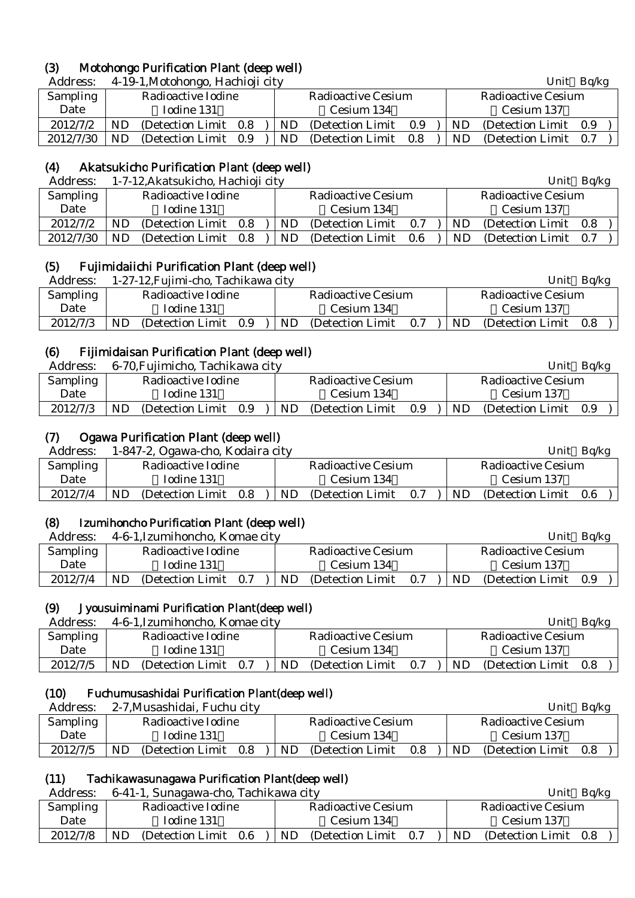## (3) Motohongo Purification Plant (deep well)

| Address:  |     | 4-19-1, Motohongo, Hachioji city |  |    |                           |            |     | Unit Ba/kg                |  |  |  |
|-----------|-----|----------------------------------|--|----|---------------------------|------------|-----|---------------------------|--|--|--|
| Sampling  |     | Radioactive Iodine               |  |    | <b>Radioactive Cesium</b> |            |     | <b>Radioactive Cesium</b> |  |  |  |
| Date      |     | Iodine 131                       |  |    | Cesium 134                | Cesium 137 |     |                           |  |  |  |
| 2012/7/2  | ND. | (Detection Limit 0.8)            |  | ND | (Detection Limit)         | 0.9        | ND. | (Detection Limit 0.9)     |  |  |  |
| 2012/7/30 | ND. | (Detection Limit 0.9)            |  | ND | (Detection Limit          | 0.8        | ND. | (Detection Limit 0.7)     |  |  |  |

## (4) Akatsukicho Purification Plant (deep well)

| Address:  |    | 1-7-12, Akatsukicho, Hachioji city |  |           |                           | Bq/kg<br>Unit |     |                    |               |  |
|-----------|----|------------------------------------|--|-----------|---------------------------|---------------|-----|--------------------|---------------|--|
| Sampling  |    | Radioactive Iodine                 |  |           | <b>Radioactive Cesium</b> |               |     | Radioactive Cesium |               |  |
| Date      |    | Iodine 131                         |  |           | Cesium 134                |               |     | Cesium 137         |               |  |
| 2012/7/2  | ND | (Detection Limit 0.8)              |  | ND        | (Detection Limit)         | 0.7           | ND. | (Detection Limit)  | $0.8^{\circ}$ |  |
| 2012/7/30 | ND | (Detection Limit 0.8)              |  | <b>ND</b> | (Detection Limit)         | -0.6          | ND. | (Detection Limit)  | 0.7           |  |

# (5) Fujimidaiichi Purification Plant (deep well)

| Address: |    | 1-27-12, Fujimi-cho, Tachikawa city |     |                |                    |     |                    | Bq/kg<br>Unit         |  |  |  |
|----------|----|-------------------------------------|-----|----------------|--------------------|-----|--------------------|-----------------------|--|--|--|
| Sampling |    | Radioactive Iodine                  |     |                | Radioactive Cesium |     | Radioactive Cesium |                       |  |  |  |
| Date     |    | Iodine 131                          |     |                | Cesium 134         |     |                    | Cesium 137            |  |  |  |
| 2012/7/3 | ND | (Detection Limit)                   | 0.9 | N <sub>D</sub> | (Detection Limit)  | 0.7 | ND.                | (Detection Limit 0.8) |  |  |  |

# (6) Fijimidaisan Purification Plant (deep well)

| Address: | 6-70, Fujimicho, Tachikawa city |                                       | Unit<br>Ba/kg                         |  |  |  |
|----------|---------------------------------|---------------------------------------|---------------------------------------|--|--|--|
| Sampling | Radioactive Iodine              | Radioactive Cesium                    | Radioactive Cesium                    |  |  |  |
| Date     | Iodine 131                      | Cesium 134                            | Cesium 137                            |  |  |  |
| 2012/7/3 | ND<br>(Detection Limit)<br>0.9  | <b>ND</b><br>0.9<br>(Detection Limit) | <b>ND</b><br>(Detection Limit)<br>0.9 |  |  |  |

## (7) Ogawa Purification Plant (deep well)

| Address: |    | 1-847-2, Ogawa-cho, Kodaira city |     |                    |                   |     |           | Unit               | Ba/kg |  |  |
|----------|----|----------------------------------|-----|--------------------|-------------------|-----|-----------|--------------------|-------|--|--|
| Sampling |    | Radioactive Iodine               |     | Radioactive Cesium |                   |     |           | Radioactive Cesium |       |  |  |
| Date     |    | Iodine 131                       |     | Cesium 134         |                   |     |           | Cesium 137         |       |  |  |
| 2012/7/4 | ND | (Detection Limit)                | 0.8 | ND.                | (Detection Limit) | 0.7 | <b>ND</b> | (Detection Limit)  | 0.6   |  |  |

# (8) Izumihoncho Purification Plant (deep well)

| Address:        |            | 4-6-1, Izumihoncho, Komae city |     |                    |                   |     |                    | Unit<br>Ba/kg         |  |  |  |
|-----------------|------------|--------------------------------|-----|--------------------|-------------------|-----|--------------------|-----------------------|--|--|--|
| <b>Sampling</b> |            | Radioactive Iodine             |     | Radioactive Cesium |                   |     | Radioactive Cesium |                       |  |  |  |
| Date            | Iodine 131 |                                |     |                    | Cesium 134        |     |                    | Cesium 137            |  |  |  |
| 2012/7/4        | ND.        | (Detection Limit)              | 0.7 | ND.                | (Detection Limit) | 0.7 | <b>ND</b>          | (Detection Limit 0.9) |  |  |  |

## (9) Jyousuiminami Purification Plant(deep well)

| Address: | 4-6-1, Izumihoncho, Komae city | Ba/kg<br>Unit                   |                              |  |  |  |
|----------|--------------------------------|---------------------------------|------------------------------|--|--|--|
| Sampling | Radioactive Iodine             | Radioactive Cesium              | Radioactive Cesium           |  |  |  |
| Date     | Todine 131                     | Cesium 134                      | Cesium 137                   |  |  |  |
| 2012/7/5 | ND<br>(Detection Limit)<br>0.7 | ND.<br>0.7<br>(Detection Limit) | ND.<br>(Detection Limit 0.8) |  |  |  |

## (10) Fuchumusashidai Purification Plant(deep well)

| Address: |            | 2-7, Musashidai, Fuchu city |         |                    |                   |     |  | Unit<br>Ba/kg      |                   |     |  |
|----------|------------|-----------------------------|---------|--------------------|-------------------|-----|--|--------------------|-------------------|-----|--|
| Sampling |            | Radioactive Iodine          |         | Radioactive Cesium |                   |     |  | Radioactive Cesium |                   |     |  |
| Date     | Iodine 131 |                             |         |                    | Cesium 134        |     |  |                    | Cesium 137        |     |  |
| 2012/7/5 | ND         | (Detection Limit)           | $0.8\,$ | ND.                | (Detection Limit) | 0.8 |  | ND.                | (Detection Limit) | 0.8 |  |

## (11) Tachikawasunagawa Purification Plant(deep well)

| Address: | 6-41-1, Sunagawa-cho, Tachikawa city      | Unit<br>Ba/kg                   |                                    |  |  |
|----------|-------------------------------------------|---------------------------------|------------------------------------|--|--|
| Sampling | Radioactive Iodine                        | Radioactive Cesium              | Radioactive Cesium                 |  |  |
| Date     | Iodine 131                                | Cesium 134                      | Cesium 137                         |  |  |
| 2012/7/8 | <b>ND</b><br>(Detection Limit)<br>$0.6\,$ | ND.<br>(Detection Limit)<br>0.7 | <b>ND</b><br>(Detection Limit 0.8) |  |  |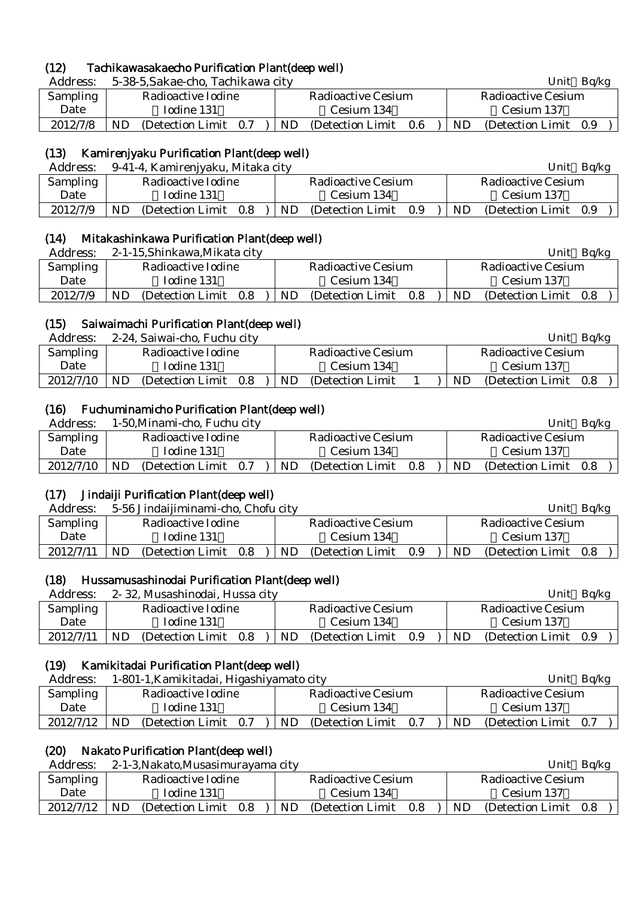# (12) Tachikawasakaecho Purification Plant(deep well)

| Address:        | 5-38-5, Sakae-cho, Tachikawa city |                              | Bq/kg<br>Unit                |  |  |  |
|-----------------|-----------------------------------|------------------------------|------------------------------|--|--|--|
| <b>Sampling</b> | Radioactive Iodine                | <b>Radioactive Cesium</b>    | <b>Radioactive Cesium</b>    |  |  |  |
| Date            | Iodine 131                        | Cesium 134                   | Cesium 137                   |  |  |  |
| 2012/7/8        | (Detection Limit 0.7)<br>ND.      | ND.<br>(Detection Limit 0.6) | (Detection Limit) 0.9<br>ND. |  |  |  |

## (13) Kamirenjyaku Purification Plant(deep well)

| Address: |    | 9-41-4, Kamirenjyaku, Mitaka city |     |                    |                   |     |  |           | Unit                  | Ba/kg |  |  |
|----------|----|-----------------------------------|-----|--------------------|-------------------|-----|--|-----------|-----------------------|-------|--|--|
| Sampling |    | Radioactive Iodine                |     | Radioactive Cesium |                   |     |  |           | Radioactive Cesium    |       |  |  |
| Date     |    | Iodine 131                        |     |                    | Cesium 134        |     |  |           | Cesium 137            |       |  |  |
| 2012/7/9 | ND | (Detection Limit)                 | 0.8 | ND.                | (Detection Limit) | 0.9 |  | <b>ND</b> | (Detection Limit 0.9) |       |  |  |
|          |    |                                   |     |                    |                   |     |  |           |                       |       |  |  |

## (14) Mitakashinkawa Purification Plant(deep well)

| Address: | 2-1-15, Shinkawa, Mikata city  | Unit<br>Bq/kg                   |                                    |  |  |
|----------|--------------------------------|---------------------------------|------------------------------------|--|--|
| Sampling | Radioactive Iodine             | Radioactive Cesium              | Radioactive Cesium                 |  |  |
| Date     | Iodine 131                     | Cesium 134                      | Cesium 137                         |  |  |
| 2012/7/9 | ND<br>(Detection Limit)<br>0.8 | ND.<br>(Detection Limit)<br>0.8 | <b>ND</b><br>(Detection Limit 0.8) |  |  |

## (15) Saiwaimachi Purification Plant(deep well)

| Address:  |     | 2-24, Saiwai-cho, Fuchu city |     |                           |                   |  |  |                    | Unit              | Bq/kg |  |
|-----------|-----|------------------------------|-----|---------------------------|-------------------|--|--|--------------------|-------------------|-------|--|
| Sampling  |     | Radioactive Iodine           |     | <b>Radioactive Cesium</b> |                   |  |  | Radioactive Cesium |                   |       |  |
| Date      |     | Iodine 131                   |     |                           | Cesium 134        |  |  |                    | Cesium 137        |       |  |
| 2012/7/10 | ND. | (Detection Limit)            | 0.8 | ND                        | (Detection Limit) |  |  | ND                 | (Detection Limit) | 0.8   |  |

## (16) Fuchuminamicho Purification Plant(deep well)

| Address:        |            | 1-50, Minami-cho, Fuchu city |     |                           |                   | Unit<br>Ba/kg |           |                       |  |  |  |
|-----------------|------------|------------------------------|-----|---------------------------|-------------------|---------------|-----------|-----------------------|--|--|--|
| <b>Sampling</b> |            | Radioactive Iodine           |     | <b>Radioactive Cesium</b> |                   |               |           | Radioactive Cesium    |  |  |  |
| Date            | Iodine 131 |                              |     |                           | Cesium 134        |               |           | Cesium 137            |  |  |  |
| 2012/7/10       | ND         | (Detection Limit)            | 0.7 | <b>ND</b>                 | (Detection Limit) | 0.8           | <b>ND</b> | (Detection Limit 0.8) |  |  |  |
|                 |            |                              |     |                           |                   |               |           |                       |  |  |  |

## (17) Jindaiji Purification Plant(deep well)

| Address:  | 5-56 Jindaijiminami-cho, Chofu city |                                 | Bg/kg<br>Unit               |  |  |  |
|-----------|-------------------------------------|---------------------------------|-----------------------------|--|--|--|
| Sampling  | Radioactive Iodine                  | Radioactive Cesium              | Radioactive Cesium          |  |  |  |
| Date      | Todine 131                          | Cesium 134                      | Cesium 137                  |  |  |  |
| 2012/7/11 | ND<br>(Detection Limit)<br>0.8      | ND.<br>(Detection Limit)<br>0.9 | ND<br>(Detection Limit 0.8) |  |  |  |

## (18) Hussamusashinodai Purification Plant(deep well)

| Address:        |    | 2-32, Musashinodai, Hussa city |     |  |                    |                   |     | Ba/kg<br>Unit      |     |                       |  |  |
|-----------------|----|--------------------------------|-----|--|--------------------|-------------------|-----|--------------------|-----|-----------------------|--|--|
| <b>Sampling</b> |    | Radioactive Iodine             |     |  | Radioactive Cesium |                   |     | Radioactive Cesium |     |                       |  |  |
| Date            |    | Todine 131                     |     |  |                    | Cesium 134        |     |                    |     | Cesium 137            |  |  |
| 2012/7/11       | ND | (Detection Limit)              | 0.8 |  | ND.                | (Detection Limit) | 0.9 |                    | ND. | (Detection Limit 0.9) |  |  |

### (19) Kamikitadai Purification Plant(deep well)

| Address:  | 1-801-1, Kamikitadai, Higashiyamato city | Bq/kg<br>Unit                   |                              |  |  |  |
|-----------|------------------------------------------|---------------------------------|------------------------------|--|--|--|
| Sampling  | Radioactive Iodine                       | Radioactive Cesium              | Radioactive Cesium           |  |  |  |
| Date      | Iodine 131                               | Cesium 134                      | Cesium 137                   |  |  |  |
| 2012/7/12 | ND.<br>(Detection Limit 0.7)             | ND.<br>(Detection Limit)<br>0.7 | ND.<br>(Detection Limit 0.7) |  |  |  |

## (20) Nakato Purification Plant(deep well)

| Address:  | 2-1-3, Nakato, Musasimurayama city |                                | Unit<br>Ba/kg                      |  |  |  |
|-----------|------------------------------------|--------------------------------|------------------------------------|--|--|--|
| Sampling  | Radioactive Iodine                 | Radioactive Cesium             | Radioactive Cesium                 |  |  |  |
| Date      | Iodine 131                         | Cesium 134                     | Cesium 137                         |  |  |  |
| 2012/7/12 | ND<br>(Detection Limit)<br>0.8     | ND<br>0.8<br>(Detection Limit) | <b>ND</b><br>(Detection Limit 0.8) |  |  |  |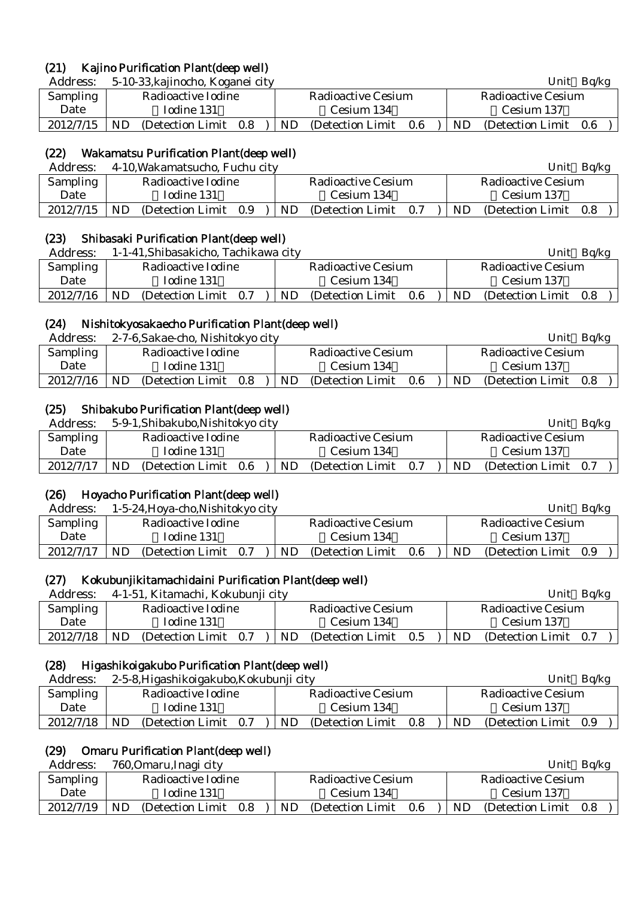## (21) Kajino Purification Plant(deep well)

Address: 5-10-33, kajinocho, Koganei city Unit Bq/kg

| .         |                              |                                                                                                |                    |  |  |  |
|-----------|------------------------------|------------------------------------------------------------------------------------------------|--------------------|--|--|--|
| Sampling  | Radioactive Iodine           | Radioactive Cesium                                                                             | Radioactive Cesium |  |  |  |
| Date      | Iodine 131                   | Cesium 134                                                                                     | Cesium 137         |  |  |  |
| 2012/7/15 | ND.<br>(Detection Limit 0.8) | $ \text{ND} \quad \text{(Detection Limit} \quad 0.6)  \text{ND} \quad \text{(Detection Limit}$ | - 0.6              |  |  |  |

### (22) Wakamatsu Purification Plant(deep well)

| Address:  | 4-10, Wakamatsucho, Fuchu city |                                | Ba/kg<br>Unit                  |  |  |  |
|-----------|--------------------------------|--------------------------------|--------------------------------|--|--|--|
| Sampling  | Radioactive Iodine             | <b>Radioactive Cesium</b>      | Radioactive Cesium             |  |  |  |
| Date      | Iodine 131                     | Cesium 134                     | Cesium 137                     |  |  |  |
| 2012/7/15 | ND<br>(Detection Limit)<br>0.9 | ND<br>0.7<br>(Detection Limit) | ND<br>(Detection Limit)<br>0.8 |  |  |  |

### (23) Shibasaki Purification Plant(deep well)

| Address:  | 1-1-41, Shibasakicho, Tachikawa city |                                 | Ba/kg<br>Unit                |  |  |
|-----------|--------------------------------------|---------------------------------|------------------------------|--|--|
| Sampling  | Radioactive Iodine                   | Radioactive Cesium              | Radioactive Cesium           |  |  |
| Date      | Iodine 131                           | Cesium 134                      | Cesium 137                   |  |  |
| 2012/7/16 | ND.<br>(Detection Limit)<br>0.7      | ND.<br>0.6<br>(Detection Limit) | ND.<br>(Detection Limit 0.8) |  |  |

### (24) Nishitokyosakaecho Purification Plant(deep well)

| Address:        |    | 2-7-6, Sakae-cho, Nishitokyo city |     |            |                    |     |  |                    | Unit              | Ba/kg |  |
|-----------------|----|-----------------------------------|-----|------------|--------------------|-----|--|--------------------|-------------------|-------|--|
| <b>Sampling</b> |    | Radioactive Iodine                |     |            | Radioactive Cesium |     |  | Radioactive Cesium |                   |       |  |
| Date            |    | Iodine 131                        |     | Cesium 134 |                    |     |  |                    | Cesium 137        |       |  |
| 2012/7/16       | ND | (Detection Limit)                 | 0.8 | ND         | (Detection Limit)  | 0.6 |  | ND                 | (Detection Limit) | 0.8   |  |
|                 |    |                                   |     |            |                    |     |  |                    |                   |       |  |

## (25) Shibakubo Purification Plant(deep well)

| Address:  |            | 5-9-1, Shibakubo, Nishitokyo city |         |  |    |                    |     |     | Unit                  | Ba/kg |  |  |
|-----------|------------|-----------------------------------|---------|--|----|--------------------|-----|-----|-----------------------|-------|--|--|
| Sampling  |            | Radioactive Iodine                |         |  |    | Radioactive Cesium |     |     | Radioactive Cesium    |       |  |  |
| Date      | Iodine 131 |                                   |         |  |    | Cesium 134         |     |     | Cesium 137            |       |  |  |
| 2012/7/17 | ND         | (Detection Limit)                 | $0.6\,$ |  | ND | (Detection Limit)  | 0.7 | ND. | (Detection Limit 0.7) |       |  |  |
|           |            |                                   |         |  |    |                    |     |     |                       |       |  |  |

### (26) Hoyacho Purification Plant(deep well)

| Address:        |                    | 1-5-24, Hoya-cho, Nishitokyo city |     |                    |                   |      |                    |            | Unit                  | Ba/kg |  |
|-----------------|--------------------|-----------------------------------|-----|--------------------|-------------------|------|--------------------|------------|-----------------------|-------|--|
| <b>Sampling</b> | Radioactive Iodine |                                   |     | Radioactive Cesium |                   |      | Radioactive Cesium |            |                       |       |  |
| Date            |                    | Iodine 131                        |     | Cesium 134         |                   |      |                    | Cesium 137 |                       |       |  |
| 2012/7/17       | <b>ND</b>          | (Detection Limit)                 | 0.7 | <b>ND</b>          | (Detection Limit) | -0.6 |                    | ND         | (Detection Limit 0.9) |       |  |

## (27) Kokubunjikitamachidaini Purification Plant(deep well)

| Address:        |                    | 4-1-51, Kitamachi, Kokubunji city |  |                           |                   |     |                           | Unit              | Ba/kg |  |
|-----------------|--------------------|-----------------------------------|--|---------------------------|-------------------|-----|---------------------------|-------------------|-------|--|
| <b>Sampling</b> | Radioactive Iodine |                                   |  | <b>Radioactive Cesium</b> |                   |     | <b>Radioactive Cesium</b> |                   |       |  |
| Date            |                    | Iodine 131                        |  |                           | Cesium 134        |     |                           | Cesium 137        |       |  |
| 2012/7/18       | ND.                | (Detection Limit 0.7)             |  | ND.                       | (Detection Limit) | 0.5 | <b>ND</b>                 | (Detection Limit) | 0.7   |  |

### (28) Higashikoigakubo Purification Plant(deep well)

| Address:  |                    | 2-5-8, Higashikoigakubo, Kokubunji city |  |                    |                   |     |                           | Ba/kg<br>Unit |                       |  |  |
|-----------|--------------------|-----------------------------------------|--|--------------------|-------------------|-----|---------------------------|---------------|-----------------------|--|--|
| Sampling  | Radioactive Iodine |                                         |  | Radioactive Cesium |                   |     | <b>Radioactive Cesium</b> |               |                       |  |  |
| Date      |                    | Iodine 131                              |  |                    | Cesium 134        |     |                           |               | Cesium 137            |  |  |
| 2012/7/18 | ND.                | (Detection Limit 0.7)                   |  | ND.                | (Detection Limit) | 0.8 |                           | ND.           | (Detection Limit 0.9) |  |  |

### (29) Omaru Purification Plant(deep well)

| Address: | 760,Omaru,Inagi city | Unit | Bq/kg |
|----------|----------------------|------|-------|
|----------|----------------------|------|-------|

| 1.0001000       |                                    |                                 | -----<br>----                         |
|-----------------|------------------------------------|---------------------------------|---------------------------------------|
| <b>Sampling</b> | Radioactive Iodine                 | Radioactive Cesium              | Radioactive Cesium                    |
| Date            | Iodine 131                         | Cesium 134                      | Cesium 137                            |
| 2012/7/19       | <b>ND</b><br>(Detection Limit 0.8) | ND.<br>(Detection Limit)<br>0.6 | <b>ND</b><br>(Detection Limit)<br>0.8 |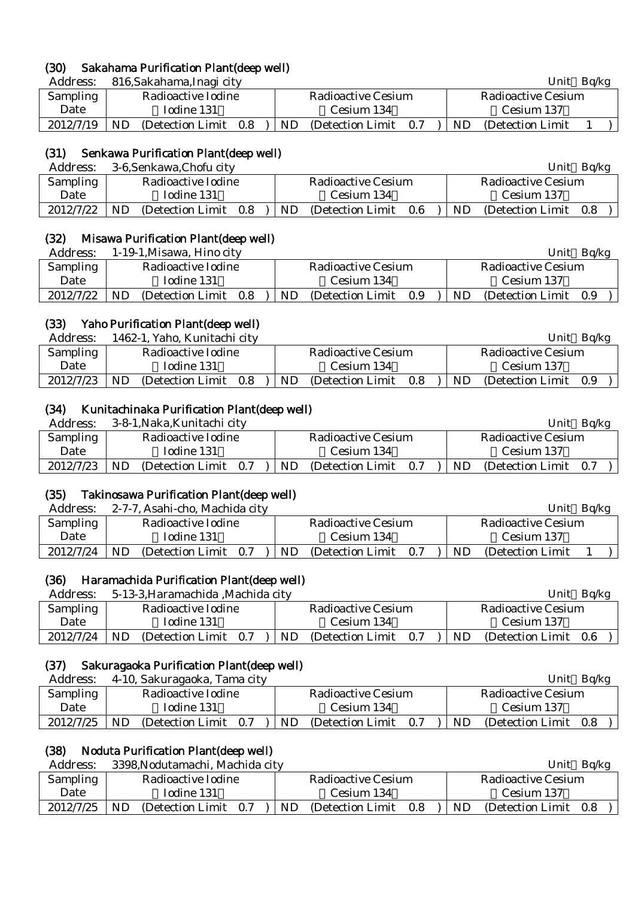### (30) Sakahama Purification Plant(deep well)

Address: 816, Sakahama, Inagi city Unit Bq/kg (Unit Bq/kg)

| Auuress.        | -010,Janahama,Inagi City        |                                 | UIIIt<br>DU/Nº          |
|-----------------|---------------------------------|---------------------------------|-------------------------|
| <b>Sampling</b> | Radioactive Iodine              | Radioactive Cesium              | Radioactive Cesium      |
| Date            | Iodine 131                      | Cesium 134                      | Cesium 137              |
| 2012/7/19       | ND.<br>(Detection Limit)<br>0.8 | ND.<br>(Detection Limit)<br>0.7 | ND<br>(Detection Limit) |

### (31) Senkawa Purification Plant(deep well)

| Address:        | 3-6, Senkawa, Chofu city       |                                 | Ba/kg<br>Unit               |
|-----------------|--------------------------------|---------------------------------|-----------------------------|
| <b>Sampling</b> | Radioactive Iodine             | Radioactive Cesium              | Radioactive Cesium          |
| Date            | Iodine 131                     | Cesium 134                      | Cesium 137                  |
| 2012/7/22       | ND<br>(Detection Limit)<br>0.8 | ND.<br>(Detection Limit)<br>0.6 | (Detection Limit 0.8)<br>ND |

### (32) Misawa Purification Plant(deep well)

| Address:  | 1-19-1, Misawa, Hino city       |                                | Bq/kg<br>Unit               |
|-----------|---------------------------------|--------------------------------|-----------------------------|
| Sampling  | Radioactive Iodine              | Radioactive Cesium             | Radioactive Cesium          |
| Date      | Iodine 131                      | Cesium 134                     | Cesium 137                  |
| 2012/7/22 | ND.<br>(Detection Limit)<br>0.8 | ND<br>(Detection Limit)<br>0.9 | ND<br>(Detection Limit 0.9) |

### (33) Yaho Purification Plant(deep well)

| Address:  |     | 1462-1, Yaho, Kunitachi city |     |     |                    |       |     | Unit               | Ba/kg |  |
|-----------|-----|------------------------------|-----|-----|--------------------|-------|-----|--------------------|-------|--|
| Sampling  |     | Radioactive Iodine           |     |     | Radioactive Cesium |       |     | Radioactive Cesium |       |  |
| Date      |     | Iodine 131                   |     |     | Cesium 134         |       |     | Cesium 137         |       |  |
| 2012/7/23 | ND. | (Detection Limit)            | 0.8 | ND. | (Detection Limit)  | - 0.8 | ND. | (Detection Limit)  | 0.9   |  |

### (34) Kunitachinaka Purification Plant(deep well)

| Address:  |    | 3-8-1, Naka, Kunitachi city |     |           |                    |     |           | Unit                  | Ba/kg |  |
|-----------|----|-----------------------------|-----|-----------|--------------------|-----|-----------|-----------------------|-------|--|
| Sampling  |    | Radioactive Iodine          |     |           | Radioactive Cesium |     |           | Radioactive Cesium    |       |  |
| Date      |    | Iodine 131                  |     |           | Cesium 134         |     |           | Cesium 137            |       |  |
| 2012/7/23 | ND | (Detection Limit)           | 0.7 | <b>ND</b> | (Detection Limit)  | 0.7 | <b>ND</b> | (Detection Limit 0.7) |       |  |

### (35) Takinosawa Purification Plant(deep well)

| Address:  |    | 2-7-7, Asahi-cho, Machida city |     |     |                    |     |           | Unit                      | Ba/kg |  |
|-----------|----|--------------------------------|-----|-----|--------------------|-----|-----------|---------------------------|-------|--|
| Sampling  |    | Radioactive Iodine             |     |     | Radioactive Cesium |     |           | <b>Radioactive Cesium</b> |       |  |
| Date      |    | Iodine 131                     |     |     | Cesium 134         |     |           | Cesium 137                |       |  |
| 2012/7/24 | ND | (Detection Limit)              | 0.7 | ND. | (Detection Limit)  | 0.7 | <b>ND</b> | (Detection Limit)         |       |  |

## (36) Haramachida Purification Plant(deep well)

| Address:        | 5-13-3, Haramachida, Machida city |                                 | Ba/kg<br>Unit               |
|-----------------|-----------------------------------|---------------------------------|-----------------------------|
| <b>Sampling</b> | Radioactive Iodine                | Radioactive Cesium              | <b>Radioactive Cesium</b>   |
| Date            | Iodine 131                        | Cesium 134                      | Cesium 137                  |
| 2012/7/24       | ND<br>(Detection Limit 0.7)       | ND.<br>(Detection Limit)<br>0.7 | (Detection Limit 0.6)<br>ND |

### (37) Sakuragaoka Purification Plant(deep well)

| Address:  |     | 4-10, Sakuragaoka, Tama city |     |    |                    |     |           | Unit               | Bq/kg |  |
|-----------|-----|------------------------------|-----|----|--------------------|-----|-----------|--------------------|-------|--|
| Sampling  |     | Radioactive Iodine           |     |    | Radioactive Cesium |     |           | Radioactive Cesium |       |  |
| Date      |     | Iodine 131                   |     |    | Cesium 134         |     |           | Cesium 137         |       |  |
| 2012/7/25 | ND. | (Detection Limit)            | 0.7 | ND | (Detection Limit)  | 0.7 | <b>ND</b> | (Detection Limit)  | 0.8   |  |

## (38) Noduta Purification Plant(deep well)

| Address:        | 3398, Nodutamachi, Machida city |                                | Ba/kg<br>Unit               |
|-----------------|---------------------------------|--------------------------------|-----------------------------|
| <b>Sampling</b> | Radioactive Iodine              | Radioactive Cesium             | Radioactive Cesium          |
| Date            | Iodine 131                      | Cesium 134                     | Cesium 137                  |
| 2012/7/25       | ND<br>(Detection Limit)<br>0.7  | ND<br>(Detection Limit)<br>0.8 | ND<br>(Detection Limit 0.8) |